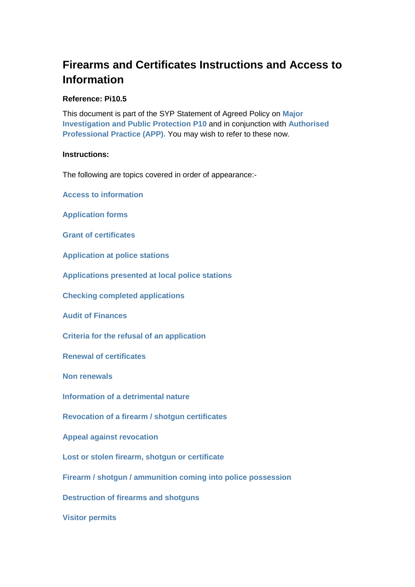# **Firearms and Certificates Instructions and Access to Information**

#### **Reference: Pi10.5**

This document is part of the SYP Statement of Agreed Policy on **[Major](http://docstore.app.yhrn.police/Policies/P10%20-%20Major%20Investigation%20and%20Public%20Protection.docx)  [Investigation and Public Protection P10](http://docstore.app.yhrn.police/Policies/P10%20-%20Major%20Investigation%20and%20Public%20Protection.docx)** and in conjunction with **[Authorised](https://www.app.college.police.uk/app-content/major-investigation-and-public-protection/?s=)  [Professional Practice \(APP\).](https://www.app.college.police.uk/app-content/major-investigation-and-public-protection/?s=)** You may wish to refer to these now.

#### **Instructions:**

The following are topics covered in order of appearance:-

**[Access to information](#page-1-0)**

**[Application forms](#page-1-1)**

**[Grant of certificates](#page-2-0)**

**[Application at police stations](#page-2-1)**

**[Applications presented at local police stations](#page-2-2)**

**[Checking completed applications](#page-2-3)**

**[Audit of Finances](#page-4-0)**

**[Criteria for the refusal of an application](#page-4-1)**

**[Renewal of certificates](#page-4-2)**

**Non [renewals](#page-5-0)**

**[Information of a detrimental nature](#page-5-1)**

**[Revocation of a firearm / shotgun certificates](#page-5-2)**

**[Appeal against revocation](#page-6-0)**

**[Lost or stolen firearm, shotgun or certificate](#page-6-1)**

**[Firearm / shotgun / ammunition coming into police possession](#page-6-2)**

**[Destruction of firearms and shotguns](#page-6-3)**

**[Visitor permits](#page-8-0)**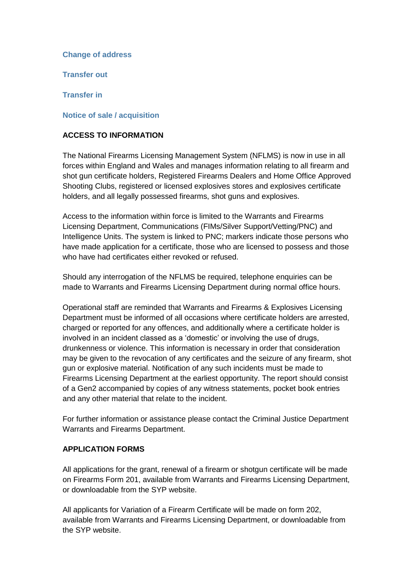#### **[Change of address](#page-8-0)**

**[Transfer out](#page-8-1)**

**[Transfer in](#page-8-2)**

#### **[Notice of sale / acquisition](#page-8-3)**

#### <span id="page-1-0"></span>**ACCESS TO INFORMATION**

The National Firearms Licensing Management System (NFLMS) is now in use in all forces within England and Wales and manages information relating to all firearm and shot gun certificate holders, Registered Firearms Dealers and Home Office Approved Shooting Clubs, registered or licensed explosives stores and explosives certificate holders, and all legally possessed firearms, shot guns and explosives.

Access to the information within force is limited to the Warrants and Firearms Licensing Department, Communications (FIMs/Silver Support/Vetting/PNC) and Intelligence Units. The system is linked to PNC; markers indicate those persons who have made application for a certificate, those who are licensed to possess and those who have had certificates either revoked or refused.

Should any interrogation of the NFLMS be required, telephone enquiries can be made to Warrants and Firearms Licensing Department during normal office hours.

Operational staff are reminded that Warrants and Firearms & Explosives Licensing Department must be informed of all occasions where certificate holders are arrested, charged or reported for any offences, and additionally where a certificate holder is involved in an incident classed as a 'domestic' or involving the use of drugs, drunkenness or violence. This information is necessary in order that consideration may be given to the revocation of any certificates and the seizure of any firearm, shot gun or explosive material. Notification of any such incidents must be made to Firearms Licensing Department at the earliest opportunity. The report should consist of a Gen2 accompanied by copies of any witness statements, pocket book entries and any other material that relate to the incident.

For further information or assistance please contact the Criminal Justice Department Warrants and Firearms Department.

#### <span id="page-1-1"></span>**APPLICATION FORMS**

All applications for the grant, renewal of a firearm or shotgun certificate will be made on Firearms Form 201, available from Warrants and Firearms Licensing Department, or downloadable from the SYP website.

All applicants for Variation of a Firearm Certificate will be made on form 202, available from Warrants and Firearms Licensing Department, or downloadable from the SYP website.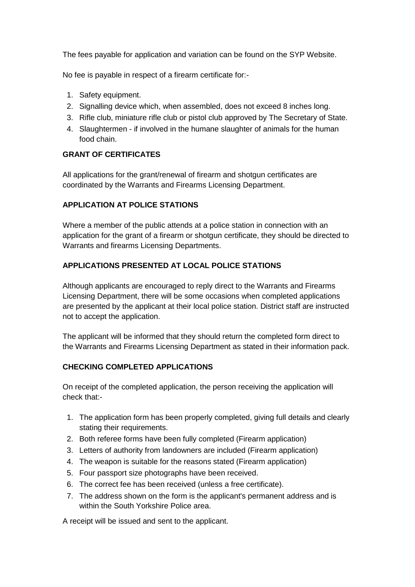The fees payable for application and variation can be found on the SYP Website.

No fee is payable in respect of a firearm certificate for:-

- 1. Safety equipment.
- 2. Signalling device which, when assembled, does not exceed 8 inches long.
- 3. Rifle club, miniature rifle club or pistol club approved by The Secretary of State.
- 4. Slaughtermen if involved in the humane slaughter of animals for the human food chain.

# <span id="page-2-0"></span>**GRANT OF CERTIFICATES**

All applications for the grant/renewal of firearm and shotgun certificates are coordinated by the Warrants and Firearms Licensing Department.

# <span id="page-2-1"></span>**APPLICATION AT POLICE STATIONS**

Where a member of the public attends at a police station in connection with an application for the grant of a firearm or shotgun certificate, they should be directed to Warrants and firearms Licensing Departments.

# <span id="page-2-2"></span>**APPLICATIONS PRESENTED AT LOCAL POLICE STATIONS**

Although applicants are encouraged to reply direct to the Warrants and Firearms Licensing Department, there will be some occasions when completed applications are presented by the applicant at their local police station. District staff are instructed not to accept the application.

The applicant will be informed that they should return the completed form direct to the Warrants and Firearms Licensing Department as stated in their information pack.

# <span id="page-2-3"></span>**CHECKING COMPLETED APPLICATIONS**

On receipt of the completed application, the person receiving the application will check that:-

- 1. The application form has been properly completed, giving full details and clearly stating their requirements.
- 2. Both referee forms have been fully completed (Firearm application)
- 3. Letters of authority from landowners are included (Firearm application)
- 4. The weapon is suitable for the reasons stated (Firearm application)
- 5. Four passport size photographs have been received.
- 6. The correct fee has been received (unless a free certificate).
- 7. The address shown on the form is the applicant's permanent address and is within the South Yorkshire Police area.

A receipt will be issued and sent to the applicant.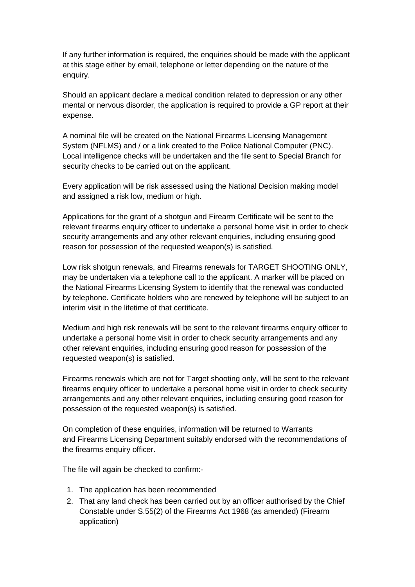If any further information is required, the enquiries should be made with the applicant at this stage either by email, telephone or letter depending on the nature of the enquiry.

Should an applicant declare a medical condition related to depression or any other mental or nervous disorder, the application is required to provide a GP report at their expense.

A nominal file will be created on the National Firearms Licensing Management System (NFLMS) and / or a link created to the Police National Computer (PNC). Local intelligence checks will be undertaken and the file sent to Special Branch for security checks to be carried out on the applicant.

Every application will be risk assessed using the National Decision making model and assigned a risk low, medium or high.

Applications for the grant of a shotgun and Firearm Certificate will be sent to the relevant firearms enquiry officer to undertake a personal home visit in order to check security arrangements and any other relevant enquiries, including ensuring good reason for possession of the requested weapon(s) is satisfied.

Low risk shotgun renewals, and Firearms renewals for TARGET SHOOTING ONLY, may be undertaken via a telephone call to the applicant. A marker will be placed on the National Firearms Licensing System to identify that the renewal was conducted by telephone. Certificate holders who are renewed by telephone will be subject to an interim visit in the lifetime of that certificate.

Medium and high risk renewals will be sent to the relevant firearms enquiry officer to undertake a personal home visit in order to check security arrangements and any other relevant enquiries, including ensuring good reason for possession of the requested weapon(s) is satisfied.

Firearms renewals which are not for Target shooting only, will be sent to the relevant firearms enquiry officer to undertake a personal home visit in order to check security arrangements and any other relevant enquiries, including ensuring good reason for possession of the requested weapon(s) is satisfied.

On completion of these enquiries, information will be returned to Warrants and Firearms Licensing Department suitably endorsed with the recommendations of the firearms enquiry officer.

The file will again be checked to confirm:-

- 1. The application has been recommended
- 2. That any land check has been carried out by an officer authorised by the Chief Constable under S.55(2) of the Firearms Act 1968 (as amended) (Firearm application)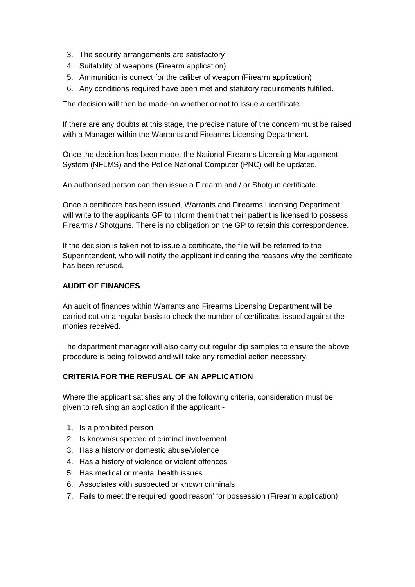- 3. The security arrangements are satisfactory
- 4. Suitability of weapons (Firearm application)
- 5. Ammunition is correct for the caliber of weapon (Firearm application)
- 6. Any conditions required have been met and statutory requirements fulfilled.

The decision will then be made on whether or not to issue a certificate.

If there are any doubts at this stage, the precise nature of the concern must be raised with a Manager within the Warrants and Firearms Licensing Department.

Once the decision has been made, the National Firearms Licensing Management System (NFLMS) and the Police National Computer (PNC) will be updated.

An authorised person can then issue a Firearm and / or Shotgun certificate.

Once a certificate has been issued, Warrants and Firearms Licensing Department will write to the applicants GP to inform them that their patient is licensed to possess Firearms / Shotguns. There is no obligation on the GP to retain this correspondence.

If the decision is taken not to issue a certificate, the file will be referred to the Superintendent, who will notify the applicant indicating the reasons why the certificate has been refused.

## <span id="page-4-0"></span>**AUDIT OF FINANCES**

An audit of finances within Warrants and Firearms Licensing Department will be carried out on a regular basis to check the number of certificates issued against the monies received.

The department manager will also carry out regular dip samples to ensure the above procedure is being followed and will take any remedial action necessary.

# <span id="page-4-1"></span>**CRITERIA FOR THE REFUSAL OF AN APPLICATION**

Where the applicant satisfies any of the following criteria, consideration must be given to refusing an application if the applicant:-

- 1. Is a prohibited person
- 2. Is known/suspected of criminal involvement
- 3. Has a history or domestic abuse/violence
- 4. Has a history of violence or violent offences
- 5. Has medical or mental health issues
- 6. Associates with suspected or known criminals
- <span id="page-4-2"></span>7. Fails to meet the required 'good reason' for possession (Firearm application)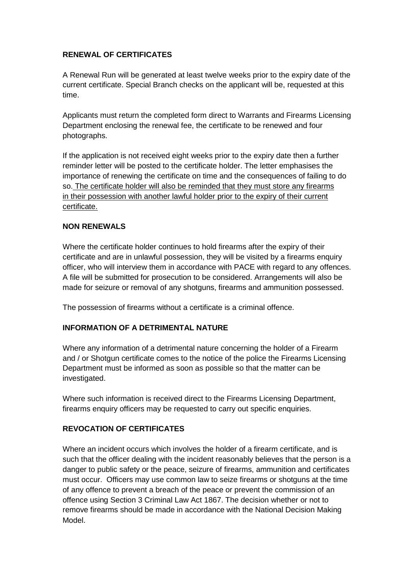# **RENEWAL OF CERTIFICATES**

A Renewal Run will be generated at least twelve weeks prior to the expiry date of the current certificate. Special Branch checks on the applicant will be, requested at this time.

Applicants must return the completed form direct to Warrants and Firearms Licensing Department enclosing the renewal fee, the certificate to be renewed and four photographs.

If the application is not received eight weeks prior to the expiry date then a further reminder letter will be posted to the certificate holder. The letter emphasises the importance of renewing the certificate on time and the consequences of failing to do so. The certificate holder will also be reminded that they must store any firearms in their possession with another lawful holder prior to the expiry of their current certificate.

## <span id="page-5-0"></span>**NON RENEWALS**

Where the certificate holder continues to hold firearms after the expiry of their certificate and are in unlawful possession, they will be visited by a firearms enquiry officer, who will interview them in accordance with PACE with regard to any offences. A file will be submitted for prosecution to be considered. Arrangements will also be made for seizure or removal of any shotguns, firearms and ammunition possessed.

The possession of firearms without a certificate is a criminal offence.

### <span id="page-5-1"></span>**INFORMATION OF A DETRIMENTAL NATURE**

Where any information of a detrimental nature concerning the holder of a Firearm and / or Shotgun certificate comes to the notice of the police the Firearms Licensing Department must be informed as soon as possible so that the matter can be investigated.

Where such information is received direct to the Firearms Licensing Department, firearms enquiry officers may be requested to carry out specific enquiries.

### <span id="page-5-2"></span>**REVOCATION OF CERTIFICATES**

Where an incident occurs which involves the holder of a firearm certificate, and is such that the officer dealing with the incident reasonably believes that the person is a danger to public safety or the peace, seizure of firearms, ammunition and certificates must occur. Officers may use common law to seize firearms or shotguns at the time of any offence to prevent a breach of the peace or prevent the commission of an offence using Section 3 Criminal Law Act 1867. The decision whether or not to remove firearms should be made in accordance with the National Decision Making Model.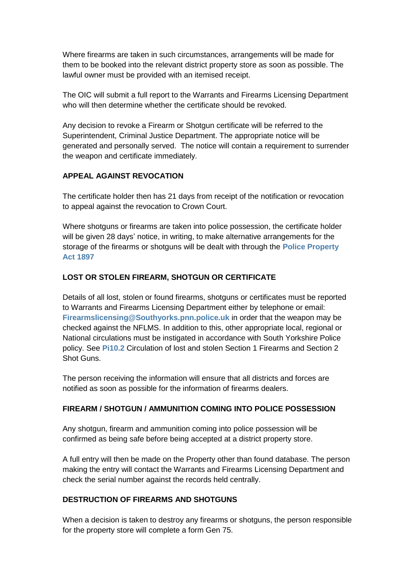Where firearms are taken in such circumstances, arrangements will be made for them to be booked into the relevant district property store as soon as possible. The lawful owner must be provided with an itemised receipt.

The OIC will submit a full report to the Warrants and Firearms Licensing Department who will then determine whether the certificate should be revoked.

Any decision to revoke a Firearm or Shotgun certificate will be referred to the Superintendent, Criminal Justice Department. The appropriate notice will be generated and personally served. The notice will contain a requirement to surrender the weapon and certificate immediately.

## <span id="page-6-0"></span>**APPEAL AGAINST REVOCATION**

The certificate holder then has 21 days from receipt of the notification or revocation to appeal against the revocation to Crown Court.

Where shotguns or firearms are taken into police possession, the certificate holder will be given 28 days' notice, in writing, to make alternative arrangements for the storage of the firearms or shotguns will be dealt with through the **[Police Property](http://www.legislation.gov.uk/ukpga/Vict/60-61/30/contents)  [Act 1897](http://www.legislation.gov.uk/ukpga/Vict/60-61/30/contents)**

# <span id="page-6-1"></span>**LOST OR STOLEN FIREARM, SHOTGUN OR CERTIFICATE**

Details of all lost, stolen or found firearms, shotguns or certificates must be reported to Warrants and Firearms Licensing Department either by telephone or email: **[Firearmslicensing@Southyorks.pnn.police.uk](mailto:Firearmslicensing@Southyorks.pnn.police.uk)** in order that the weapon may be checked against the NFLMS. In addition to this, other appropriate local, regional or National circulations must be instigated in accordance with South Yorkshire Police policy. See **[Pi10.2](http://docstore.app.yhrn.police/Policies/Pi10.2%20-%20Circulation%20of%20lost%20and%20stolen%20Section%201%20Firearms%20and%20Section%202%20Shot%20Guns.docx)** Circulation of lost and stolen Section 1 Firearms and Section 2 Shot Guns.

The person receiving the information will ensure that all districts and forces are notified as soon as possible for the information of firearms dealers.

## <span id="page-6-2"></span>**FIREARM / SHOTGUN / AMMUNITION COMING INTO POLICE POSSESSION**

Any shotgun, firearm and ammunition coming into police possession will be confirmed as being safe before being accepted at a district property store.

A full entry will then be made on the Property other than found database. The person making the entry will contact the Warrants and Firearms Licensing Department and check the serial number against the records held centrally.

### <span id="page-6-3"></span>**DESTRUCTION OF FIREARMS AND SHOTGUNS**

When a decision is taken to destroy any firearms or shotguns, the person responsible for the property store will complete a form Gen 75.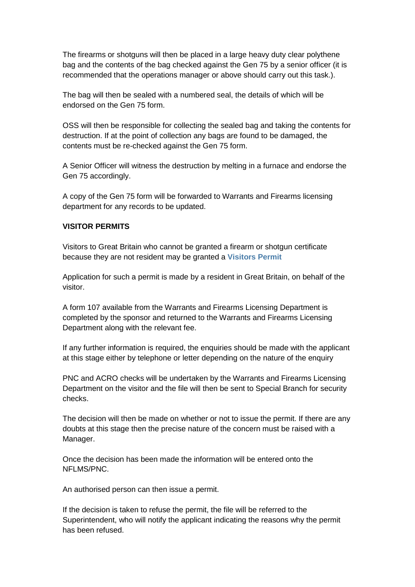The firearms or shotguns will then be placed in a large heavy duty clear polythene bag and the contents of the bag checked against the Gen 75 by a senior officer (it is recommended that the operations manager or above should carry out this task.).

The bag will then be sealed with a numbered seal, the details of which will be endorsed on the Gen 75 form.

OSS will then be responsible for collecting the sealed bag and taking the contents for destruction. If at the point of collection any bags are found to be damaged, the contents must be re-checked against the Gen 75 form.

A Senior Officer will witness the destruction by melting in a furnace and endorse the Gen 75 accordingly.

A copy of the Gen 75 form will be forwarded to Warrants and Firearms licensing department for any records to be updated.

#### **VISITOR PERMITS**

Visitors to Great Britain who cannot be granted a firearm or shotgun certificate because they are not resident may be granted a **[Visitors Permit](http://www.legislation.gov.uk/ukpga/1988/45/section/17)** 

Application for such a permit is made by a resident in Great Britain, on behalf of the visitor.

A form 107 available from the Warrants and Firearms Licensing Department is completed by the sponsor and returned to the Warrants and Firearms Licensing Department along with the relevant fee.

If any further information is required, the enquiries should be made with the applicant at this stage either by telephone or letter depending on the nature of the enquiry

PNC and ACRO checks will be undertaken by the Warrants and Firearms Licensing Department on the visitor and the file will then be sent to Special Branch for security checks.

The decision will then be made on whether or not to issue the permit. If there are any doubts at this stage then the precise nature of the concern must be raised with a Manager.

Once the decision has been made the information will be entered onto the NFLMS/PNC.

An authorised person can then issue a permit.

If the decision is taken to refuse the permit, the file will be referred to the Superintendent, who will notify the applicant indicating the reasons why the permit has been refused.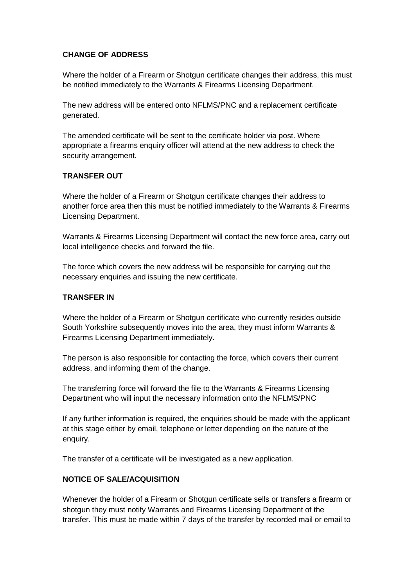## <span id="page-8-0"></span>**CHANGE OF ADDRESS**

Where the holder of a Firearm or Shotgun certificate changes their address, this must be notified immediately to the Warrants & Firearms Licensing Department.

The new address will be entered onto NFLMS/PNC and a replacement certificate generated.

The amended certificate will be sent to the certificate holder via post. Where appropriate a firearms enquiry officer will attend at the new address to check the security arrangement.

## <span id="page-8-1"></span>**TRANSFER OUT**

Where the holder of a Firearm or Shotgun certificate changes their address to another force area then this must be notified immediately to the Warrants & Firearms Licensing Department.

Warrants & Firearms Licensing Department will contact the new force area, carry out local intelligence checks and forward the file.

The force which covers the new address will be responsible for carrying out the necessary enquiries and issuing the new certificate.

## <span id="page-8-2"></span>**TRANSFER IN**

Where the holder of a Firearm or Shotgun certificate who currently resides outside South Yorkshire subsequently moves into the area, they must inform Warrants & Firearms Licensing Department immediately.

The person is also responsible for contacting the force, which covers their current address, and informing them of the change.

The transferring force will forward the file to the Warrants & Firearms Licensing Department who will input the necessary information onto the NFLMS/PNC

If any further information is required, the enquiries should be made with the applicant at this stage either by email, telephone or letter depending on the nature of the enquiry.

The transfer of a certificate will be investigated as a new application.

## <span id="page-8-3"></span>**NOTICE OF SALE/ACQUISITION**

Whenever the holder of a Firearm or Shotgun certificate sells or transfers a firearm or shotgun they must notify Warrants and Firearms Licensing Department of the transfer. This must be made within 7 days of the transfer by recorded mail or email to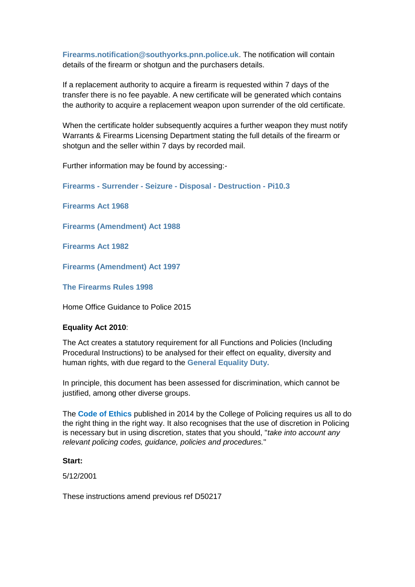**[Firearms.notification@southyorks.pnn.police.uk](mailto:Firearms.notification@southyorks.pnn.police.uk)**. The notification will contain details of the firearm or shotgun and the purchasers details.

If a replacement authority to acquire a firearm is requested within 7 days of the transfer there is no fee payable. A new certificate will be generated which contains the authority to acquire a replacement weapon upon surrender of the old certificate.

When the certificate holder subsequently acquires a further weapon they must notify Warrants & Firearms Licensing Department stating the full details of the firearm or shotgun and the seller within 7 days by recorded mail.

Further information may be found by accessing:-

**Firearms - Surrender - Seizure - Disposal - [Destruction](http://docstore.app.yhrn.police/Policies/Pi10.3%20Property%20-%20Surrender,%20Seizure,%20Disposal,%20Destruction%20of%20Firearms.docx) - Pi10.3**

**[Firearms Act 1968](http://www.legislation.gov.uk/ukpga/1968/27/contents)** 

**[Firearms \(Amendment\) Act 1988](http://www.legislation.gov.uk/ukpga/1988/45/contents)** 

**[Firearms Act 1982](http://www.legislation.gov.uk/ukpga/1982/31/contents)** 

**[Firearms \(Amendment\) Act 1997](http://www.legislation.gov.uk/ukpga/1997/5/contents)** 

**[The Firearms Rules 1998](http://www.legislation.gov.uk/uksi/1998/1941/contents/made)** 

Home Office Guidance to Police 2015

#### **Equality Act 2010**:

The Act creates a statutory requirement for all Functions and Policies (Including Procedural Instructions) to be analysed for their effect on equality, diversity and human rights, with due regard to the **[General Equality](http://vmkbase01u.app.yhrn.police/faq/index.php?action=artikel&cat=133&id=662&artlang=en) Duty.**

In principle, this document has been assessed for discrimination, which cannot be justified, among other diverse groups.

The **[Code of Ethics](http://intranet.humberside.police.uk/Branches/Corporate_Development/Documents/Practice_Directions/_SavedDocs/Code_of_Ethics.pdf)** published in 2014 by the College of Policing requires us all to do the right thing in the right way. It also recognises that the use of discretion in Policing is necessary but in using discretion, states that you should, "*take into account any relevant policing codes, guidance, policies and procedures.*"

#### **Start:**

5/12/2001

These instructions amend previous ref D50217